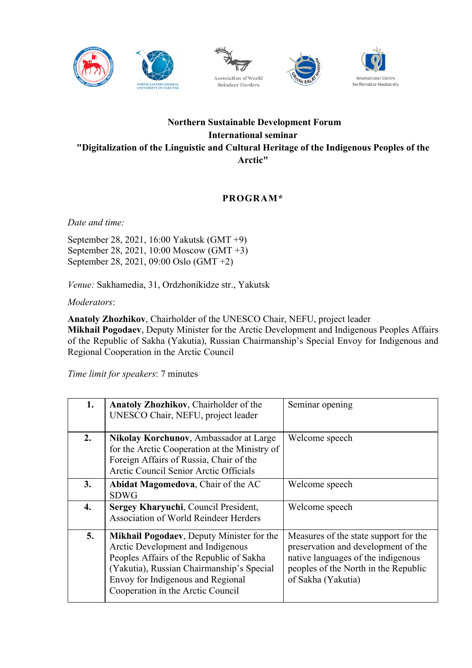







## **Northern Sustainable Development Forum International seminar "Digitalization of the Linguistic and Cultural Heritage of the Indigenous Peoples of the Arctic"**

## **PROGRAM\***

*Date and time:*

September 28, 2021, 16:00 Yakutsk (GMT +9) September 28, 2021, 10:00 Moscow (GMT +3) September 28, 2021, 09:00 Oslo (GMT +2)

*Venue:* Sakhamedia, 31, Ordzhonikidze str., Yakutsk

*Moderators*:

**Anatoly Zhozhikov**, Chairholder of the UNESCO Chair, NEFU, project leader **Mikhail Pogodaev**, Deputy Minister for the Arctic Development and Indigenous Peoples Affairs of the Republic of Sakha (Yakutia), Russian Chairmanship's Special Envoy for Indigenous and Regional Cooperation in the Arctic Council

*Time limit for speakers*: 7 minutes

| 1. | Anatoly Zhozhikov, Chairholder of the<br>UNESCO Chair, NEFU, project leader                                                                                                                                                                              | Seminar opening                                                                                                                                                                  |
|----|----------------------------------------------------------------------------------------------------------------------------------------------------------------------------------------------------------------------------------------------------------|----------------------------------------------------------------------------------------------------------------------------------------------------------------------------------|
| 2. | Nikolay Korchunov, Ambassador at Large<br>for the Arctic Cooperation at the Ministry of<br>Foreign Affairs of Russia, Chair of the<br>Arctic Council Senior Arctic Officials                                                                             | Welcome speech                                                                                                                                                                   |
| 3. | <b>Abidat Magomedova, Chair of the AC</b><br><b>SDWG</b>                                                                                                                                                                                                 | Welcome speech                                                                                                                                                                   |
| 4. | Sergey Kharyuchi, Council President,<br><b>Association of World Reindeer Herders</b>                                                                                                                                                                     | Welcome speech                                                                                                                                                                   |
| 5. | <b>Mikhail Pogodaev, Deputy Minister for the</b><br>Arctic Development and Indigenous<br>Peoples Affairs of the Republic of Sakha<br>(Yakutia), Russian Chairmanship's Special<br>Envoy for Indigenous and Regional<br>Cooperation in the Arctic Council | Measures of the state support for the<br>preservation and development of the<br>native languages of the indigenous<br>peoples of the North in the Republic<br>of Sakha (Yakutia) |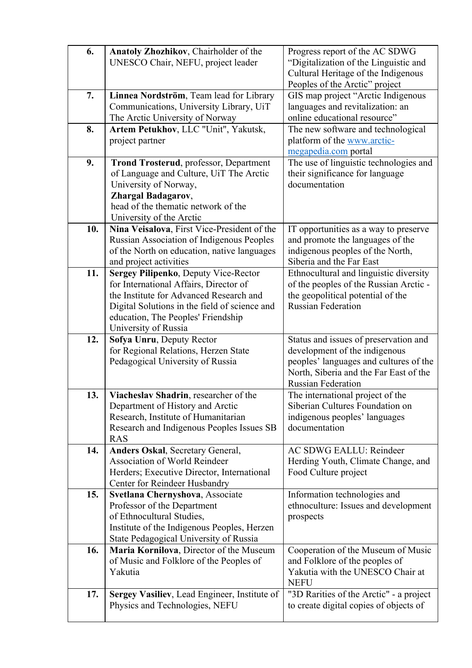| 6.  | Anatoly Zhozhikov, Chairholder of the<br>UNESCO Chair, NEFU, project leader        | Progress report of the AC SDWG<br>"Digitalization of the Linguistic and |
|-----|------------------------------------------------------------------------------------|-------------------------------------------------------------------------|
|     |                                                                                    | Cultural Heritage of the Indigenous                                     |
| 7.  | Linnea Nordström, Team lead for Library                                            | Peoples of the Arctic" project<br>GIS map project "Arctic Indigenous    |
|     | Communications, University Library, UiT                                            | languages and revitalization: an                                        |
|     | The Arctic University of Norway                                                    | online educational resource"                                            |
| 8.  | Artem Petukhov, LLC "Unit", Yakutsk,                                               | The new software and technological                                      |
|     | project partner                                                                    | platform of the www.arctic-                                             |
|     |                                                                                    | megapedia.com portal                                                    |
| 9.  | <b>Trond Trosterud, professor, Department</b>                                      | The use of linguistic technologies and                                  |
|     | of Language and Culture, UiT The Arctic                                            | their significance for language                                         |
|     | University of Norway,                                                              | documentation                                                           |
|     | <b>Zhargal Badagarov,</b>                                                          |                                                                         |
|     | head of the thematic network of the                                                |                                                                         |
|     | University of the Arctic                                                           |                                                                         |
| 10. | Nina Veisalova, First Vice-President of the                                        | IT opportunities as a way to preserve                                   |
|     | Russian Association of Indigenous Peoples                                          | and promote the languages of the                                        |
|     | of the North on education, native languages<br>and project activities              | indigenous peoples of the North,<br>Siberia and the Far East            |
| 11. | Sergey Pilipenko, Deputy Vice-Rector                                               | Ethnocultural and linguistic diversity                                  |
|     | for International Affairs, Director of                                             | of the peoples of the Russian Arctic -                                  |
|     | the Institute for Advanced Research and                                            | the geopolitical potential of the                                       |
|     | Digital Solutions in the field of science and                                      | <b>Russian Federation</b>                                               |
|     | education, The Peoples' Friendship                                                 |                                                                         |
|     | University of Russia                                                               |                                                                         |
| 12. | Sofya Unru, Deputy Rector                                                          | Status and issues of preservation and                                   |
|     |                                                                                    |                                                                         |
|     | for Regional Relations, Herzen State                                               | development of the indigenous                                           |
|     | Pedagogical University of Russia                                                   | peoples' languages and cultures of the                                  |
|     |                                                                                    | North, Siberia and the Far East of the                                  |
|     |                                                                                    | <b>Russian Federation</b>                                               |
| 13. | Viacheslav Shadrin, researcher of the                                              | The international project of the                                        |
|     | Department of History and Arctic                                                   | Siberian Cultures Foundation on                                         |
|     | Research, Institute of Humanitarian                                                | indigenous peoples' languages<br>documentation                          |
|     | Research and Indigenous Peoples Issues SB<br><b>RAS</b>                            |                                                                         |
| 14. | <b>Anders Oskal, Secretary General,</b>                                            | AC SDWG EALLU: Reindeer                                                 |
|     | <b>Association of World Reindeer</b>                                               | Herding Youth, Climate Change, and                                      |
|     | Herders; Executive Director, International                                         | Food Culture project                                                    |
|     | Center for Reindeer Husbandry                                                      |                                                                         |
| 15. | Svetlana Chernyshova, Associate                                                    | Information technologies and                                            |
|     | Professor of the Department                                                        | ethnoculture: Issues and development                                    |
|     | of Ethnocultural Studies,                                                          | prospects                                                               |
|     | Institute of the Indigenous Peoples, Herzen                                        |                                                                         |
|     | State Pedagogical University of Russia                                             |                                                                         |
| 16. | Maria Kornilova, Director of the Museum<br>of Music and Folklore of the Peoples of | Cooperation of the Museum of Music<br>and Folklore of the peoples of    |
|     | Yakutia                                                                            | Yakutia with the UNESCO Chair at                                        |
|     |                                                                                    | <b>NEFU</b>                                                             |
| 17. | Sergey Vasiliev, Lead Engineer, Institute of                                       | "3D Rarities of the Arctic" - a project                                 |
|     | Physics and Technologies, NEFU                                                     | to create digital copies of objects of                                  |